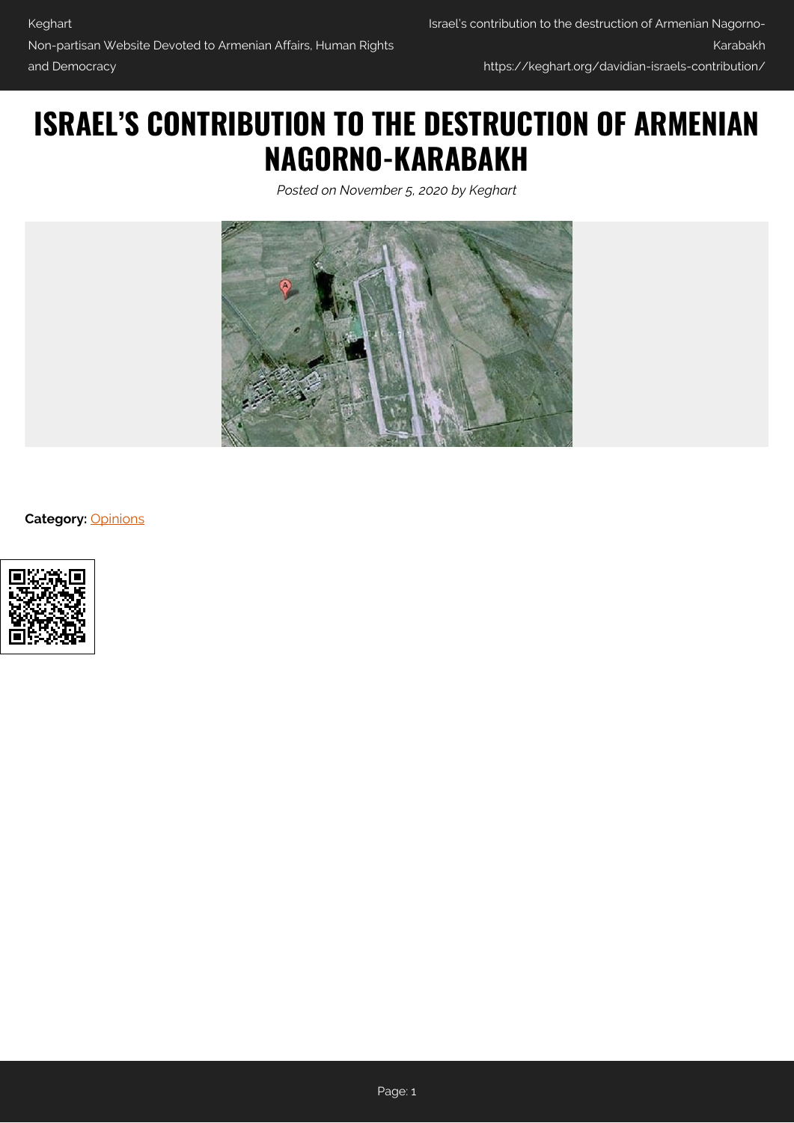## **ISRAEL'S CONTRIBUTION TO THE DESTRUCTION OF ARMENIAN NAGORNO-KARABAKH**

*Posted on November 5, 2020 by Keghart*



**Category:** [Opinions](https://keghart.org/category/opinions/)

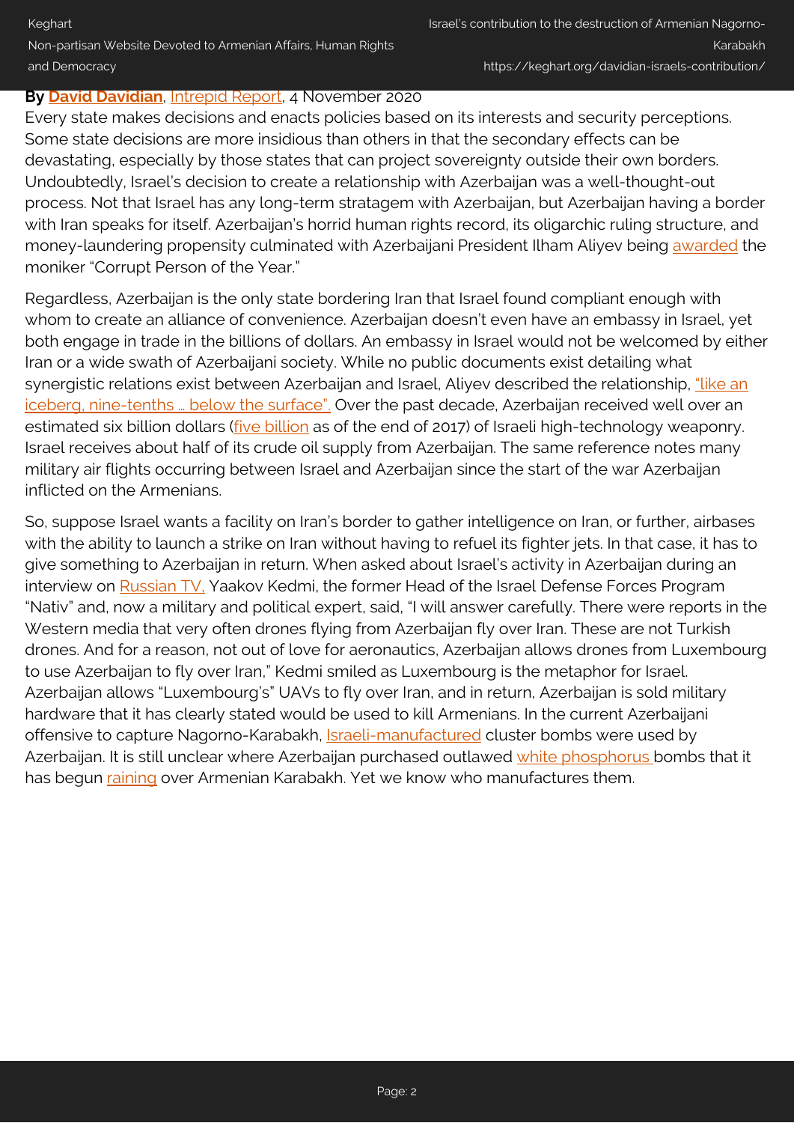## **By [David Davidian](#page--1-0)**, [Intrepid Report](http://www.intrepidreport.com/archives/31226), 4 November 2020

Every state makes decisions and enacts policies based on its interests and security perceptions. Some state decisions are more insidious than others in that the secondary effects can be devastating, especially by those states that can project sovereignty outside their own borders. Undoubtedly, Israel's decision to create a relationship with Azerbaijan was a well-thought-out process. Not that Israel has any long-term stratagem with Azerbaijan, but Azerbaijan having a border with Iran speaks for itself. Azerbaijan's horrid human rights record, its oligarchic ruling structure, and money-laundering propensity culminated with Azerbaijani President Ilham Aliyev being [awarded](https://www.occrp.org/en/poy/2012/) the moniker "Corrupt Person of the Year."

Regardless, Azerbaijan is the only state bordering Iran that Israel found compliant enough with whom to create an alliance of convenience. Azerbaijan doesn't even have an embassy in Israel, yet both engage in trade in the billions of dollars. An embassy in Israel would not be welcomed by either Iran or a wide swath of Azerbaijani society. While no public documents exist detailing what synergistic relations exist between Azerbaijan and Israel, Aliyev described the relationship, ["like an](https://www.ibtimes.com/azerbaijani-president-aliyev-one-israels-best-friends-arms-buyer-re-elected-third-straight-term) iceberg, nine-tenths ... below the surface". Over the past decade, Azerbaijan received well over an estimated six billion dollars (*five billion* as of the end of 2017) of Israeli high-technology weaponry. Israel receives about half of its crude oil supply from Azerbaijan. The same reference notes many military air flights occurring between Israel and Azerbaijan since the start of the war Azerbaijan inflicted on the Armenians.

So, suppose Israel wants a facility on Iran's border to gather intelligence on Iran, or further, airbases with the ability to launch a strike on Iran without having to refuel its fighter jets. In that case, it has to give something to Azerbaijan in return. When asked about Israel's activity in Azerbaijan during an interview on [Russian TV,](https://www.facebook.com/CityNewsLife/videos/2547157592241120) Yaakov Kedmi, the former Head of the Israel Defense Forces Program "Nativ" and, now a military and political expert, said, "I will answer carefully. There were reports in the Western media that very often drones flying from Azerbaijan fly over Iran. These are not Turkish drones. And for a reason, not out of love for aeronautics, Azerbaijan allows drones from Luxembourg to use Azerbaijan to fly over Iran," Kedmi smiled as Luxembourg is the metaphor for Israel. Azerbaijan allows "Luxembourg's" UAVs to fly over Iran, and in return, Azerbaijan is sold military hardware that it has clearly stated would be used to kill Armenians. In the current Azerbaijani offensive to capture Nagorno-Karabakh, *[Israeli-manufactured](https://www.amnesty.org/en/latest/news/2020/10/armenia-azerbaijan-civilians-must-be-protected-from-use-of-banned-cluster-bombs/)* cluster bombs were used by Azerbaijan. It is still unclear where Azerbaijan purchased outlawed [white phosphorus](https://twitter.com/ASBMilitary/status/1322234207175905287) bombs that it has begun [raining](https://a1plus.am/en/article/384324) over Armenian Karabakh. Yet we know who manufactures them.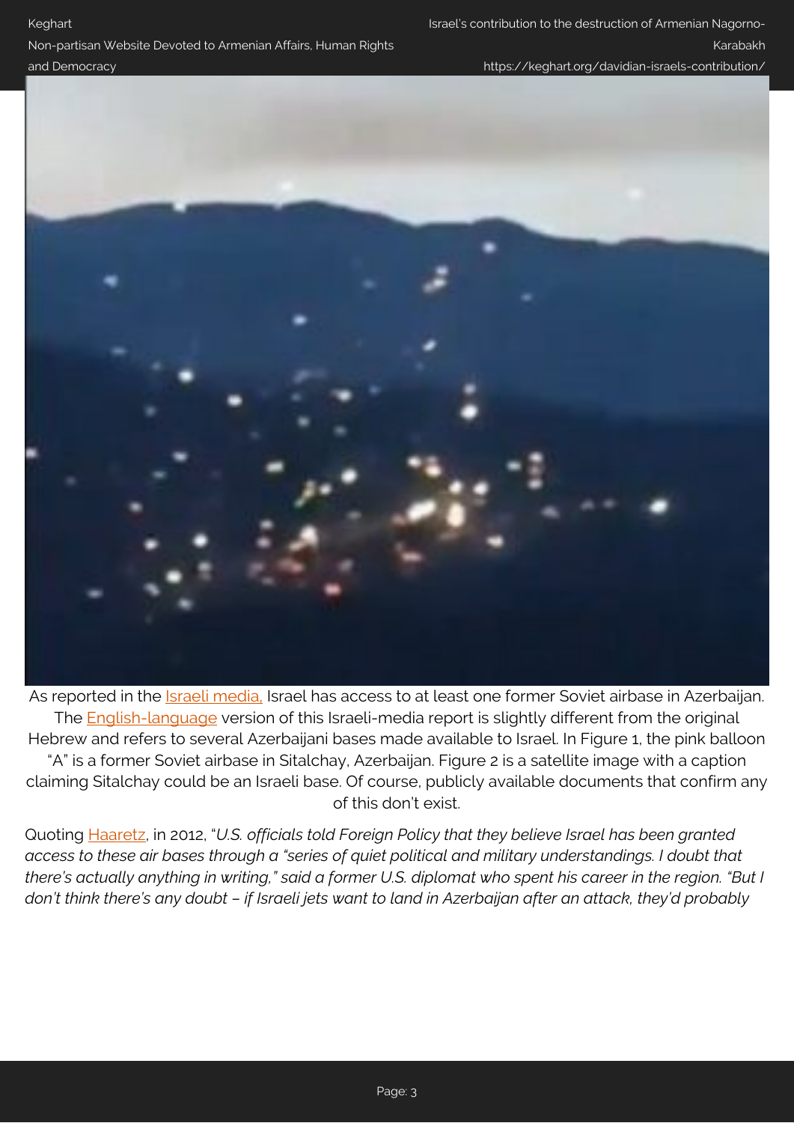## and Democracy

Non-partisan Website Devoted to Armenian Affairs, Human Rights

https://keghart.org/davidian-israels-contribution/



As reported in the *Israeli media*, Israel has access to at least one former Soviet airbase in Azerbaijan. The [English-language](https://www.ynetnews.com/articles/0,7340,L-4209567,00.html) version of this Israeli-media report is slightly different from the original Hebrew and refers to several Azerbaijani bases made available to Israel. In Figure 1, the pink balloon "A" is a former Soviet airbase in Sitalchay, Azerbaijan. Figure 2 is a satellite image with a caption claiming Sitalchay could be an Israeli base. Of course, publicly available documents that confirm any of this don't exist.

Quoting [Haaretz](https://www.haaretz.com/1.5209546), in 2012, "*U.S. officials told Foreign Policy that they believe Israel has been granted access to these air bases through a "series of quiet political and military understandings. I doubt that there's actually anything in writing," said a former U.S. diplomat who spent his career in the region. "But I don't think there's any doubt – if Israeli jets want to land in Azerbaijan after an attack, they'd probably*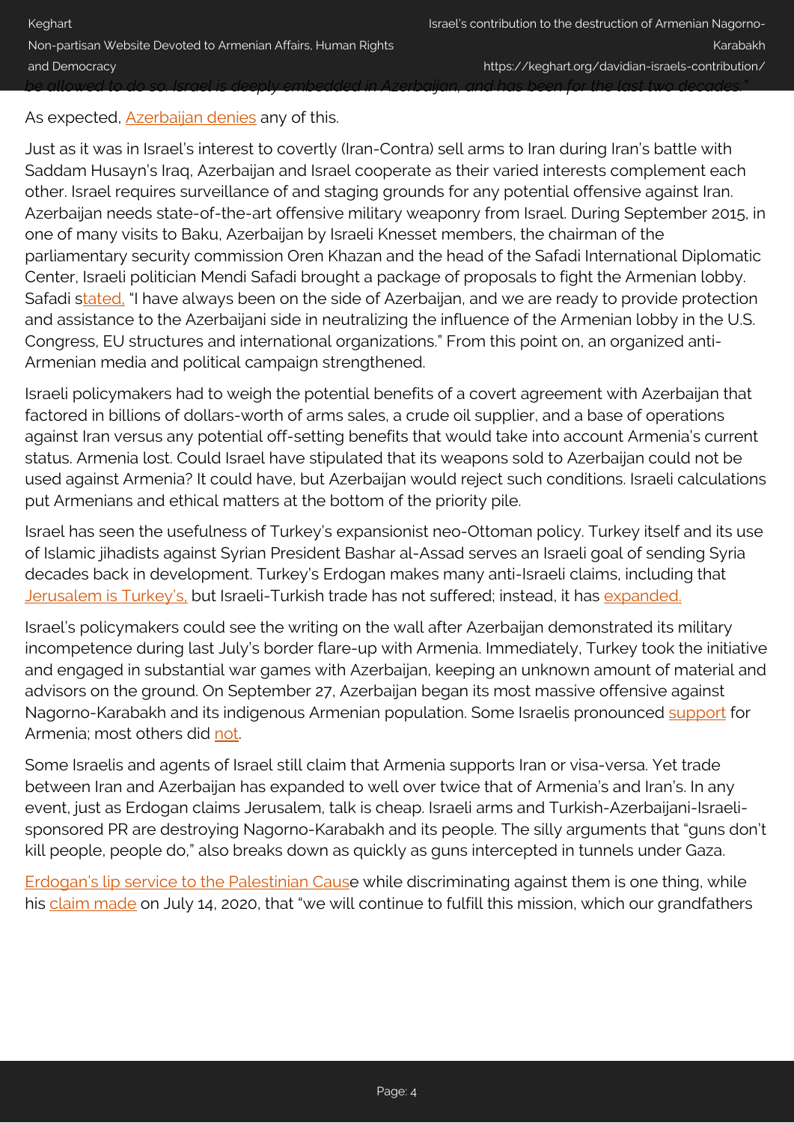As expected, [Azerbaijan denies](https://www.haaretz.com/1.5209720?lts=1591987820726) any of this.

Just as it was in Israel's interest to covertly (Iran-Contra) sell arms to Iran during Iran's battle with Saddam Husayn's Iraq, Azerbaijan and Israel cooperate as their varied interests complement each other. Israel requires surveillance of and staging grounds for any potential offensive against Iran. Azerbaijan needs state-of-the-art offensive military weaponry from Israel. During September 2015, in one of many visits to Baku, Azerbaijan by Israeli Knesset members, the chairman of the parliamentary security commission Oren Khazan and the head of the Safadi International Diplomatic Center, Israeli politician Mendi Safadi brought a package of proposals to fight the Armenian lobby. Safadi [stated,](https://www.rizvanhuseynov.com/2015/09/blog-post_19.html) "I have always been on the side of Azerbaijan, and we are ready to provide protection and assistance to the Azerbaijani side in neutralizing the influence of the Armenian lobby in the U.S. Congress, EU structures and international organizations." From this point on, an organized anti-Armenian media and political campaign strengthened.

Israeli policymakers had to weigh the potential benefits of a covert agreement with Azerbaijan that factored in billions of dollars-worth of arms sales, a crude oil supplier, and a base of operations against Iran versus any potential off-setting benefits that would take into account Armenia's current status. Armenia lost. Could Israel have stipulated that its weapons sold to Azerbaijan could not be used against Armenia? It could have, but Azerbaijan would reject such conditions. Israeli calculations put Armenians and ethical matters at the bottom of the priority pile.

Israel has seen the usefulness of Turkey's expansionist neo-Ottoman policy. Turkey itself and its use of Islamic jihadists against Syrian President Bashar al-Assad serves an Israeli goal of sending Syria decades back in development. Turkey's Erdogan makes many anti-Israeli claims, including that [Jerusalem is Turkey's,](https://www.israeltoday.co.il/read/jerusalem-is-ours-whats-behind-turkeys-astonishing-claim/) but Israeli-Turkish trade has not suffered; instead, it has [expanded.](https://www.jpost.com/middle-east/turkish-israel-trade-on-the-rise-as-diplomatic-relations-hit-bottom-645852)

Israel's policymakers could see the writing on the wall after Azerbaijan demonstrated its military incompetence during last July's border flare-up with Armenia. Immediately, Turkey took the initiative and engaged in substantial war games with Azerbaijan, keeping an unknown amount of material and advisors on the ground. On September 27, Azerbaijan began its most massive offensive against Nagorno-Karabakh and its indigenous Armenian population. Some Israelis pronounced [support](https://www.jpost.com/opinion/why-israel-must-stand-with-armenia-646251) for Armenia; most others did [not.](https://www.israelnationalnews.com/News/News.aspx/288467)

Some Israelis and agents of Israel still claim that Armenia supports Iran or visa-versa. Yet trade between Iran and Azerbaijan has expanded to well over twice that of Armenia's and Iran's. In any event, just as Erdogan claims Jerusalem, talk is cheap. Israeli arms and Turkish-Azerbaijani-Israelisponsored PR are destroying Nagorno-Karabakh and its people. The silly arguments that "guns don't kill people, people do," also breaks down as quickly as guns intercepted in tunnels under Gaza.

[Erdogan's lip service to the Palestinian Caus](https://www.gatestoneinstitute.org/16086/palestinians-turkey-erdogan)e while discriminating against them is one thing, while his [claim made](https://www.facebook.com/watch/?v=901531213674010) on July 14, 2020, that "we will continue to fulfill this mission, which our grandfathers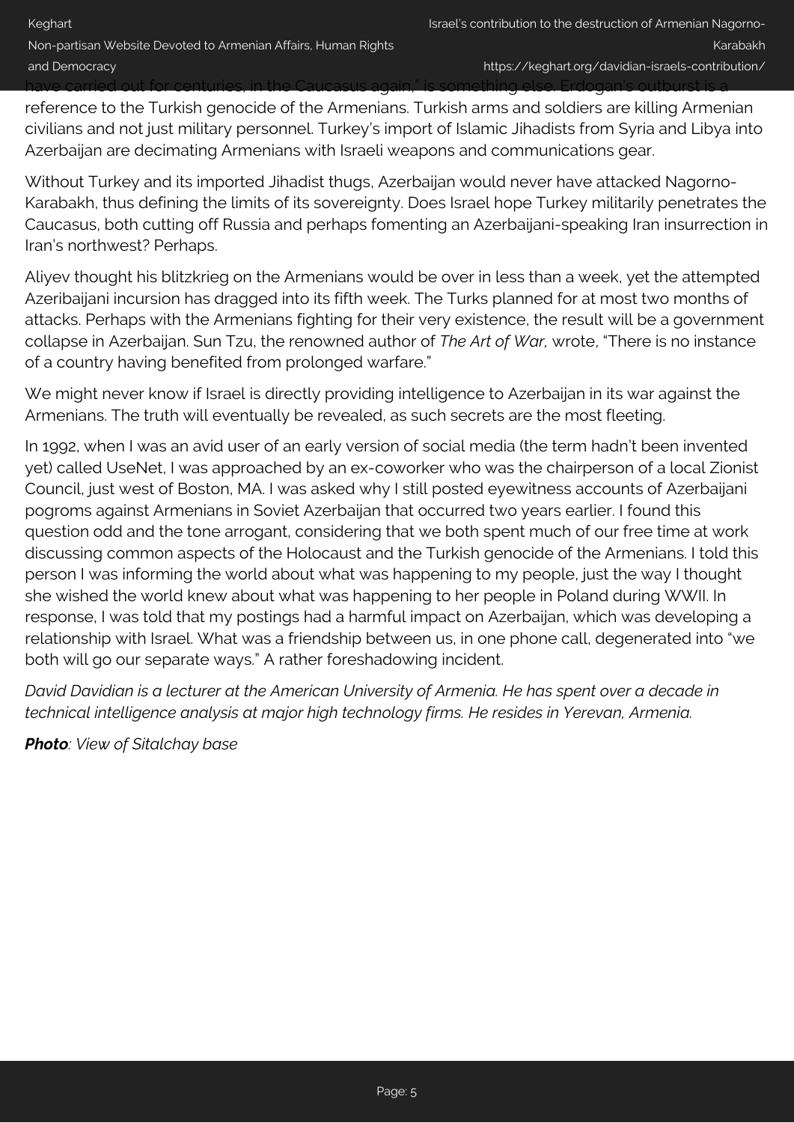reference to the Turkish genocide of the Armenians. Turkish arms and soldiers are killing Armenian civilians and not just military personnel. Turkey's import of Islamic Jihadists from Syria and Libya into Azerbaijan are decimating Armenians with Israeli weapons and communications gear.

Without Turkey and its imported Jihadist thugs, Azerbaijan would never have attacked Nagorno-Karabakh, thus defining the limits of its sovereignty. Does Israel hope Turkey militarily penetrates the Caucasus, both cutting off Russia and perhaps fomenting an Azerbaijani-speaking Iran insurrection in Iran's northwest? Perhaps.

Aliyev thought his blitzkrieg on the Armenians would be over in less than a week, yet the attempted Azeribaijani incursion has dragged into its fifth week. The Turks planned for at most two months of attacks. Perhaps with the Armenians fighting for their very existence, the result will be a government collapse in Azerbaijan. Sun Tzu, the renowned author of *The Art of War,* wrote, "There is no instance of a country having benefited from prolonged warfare."

We might never know if Israel is directly providing intelligence to Azerbaijan in its war against the Armenians. The truth will eventually be revealed, as such secrets are the most fleeting.

In 1992, when I was an avid user of an early version of social media (the term hadn't been invented yet) called UseNet, I was approached by an ex-coworker who was the chairperson of a local Zionist Council, just west of Boston, MA. I was asked why I still posted eyewitness accounts of Azerbaijani pogroms against Armenians in Soviet Azerbaijan that occurred two years earlier. I found this question odd and the tone arrogant, considering that we both spent much of our free time at work discussing common aspects of the Holocaust and the Turkish genocide of the Armenians. I told this person I was informing the world about what was happening to my people, just the way I thought she wished the world knew about what was happening to her people in Poland during WWII. In response, I was told that my postings had a harmful impact on Azerbaijan, which was developing a relationship with Israel. What was a friendship between us, in one phone call, degenerated into "we both will go our separate ways." A rather foreshadowing incident.

*David Davidian is a lecturer at the American University of Armenia. He has spent over a decade in technical intelligence analysis at major high technology firms. He resides in Yerevan, Armenia.*

*Photo: View of Sitalchay base*